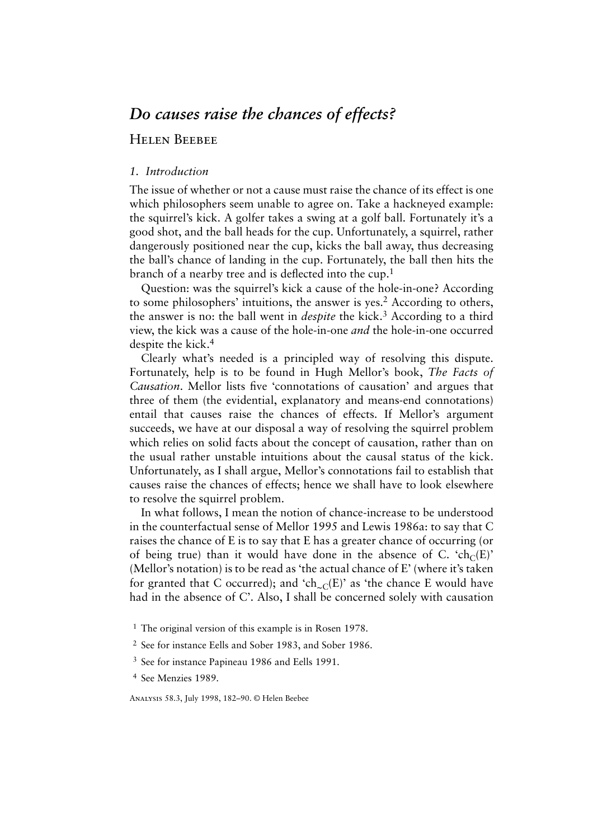# *Do causes raise the chances of effects?*

### Helen Beebee

#### *1. Introduction*

The issue of whether or not a cause must raise the chance of its effect is one which philosophers seem unable to agree on. Take a hackneyed example: the squirrel's kick. A golfer takes a swing at a golf ball. Fortunately it's a good shot, and the ball heads for the cup. Unfortunately, a squirrel, rather dangerously positioned near the cup, kicks the ball away, thus decreasing the ball's chance of landing in the cup. Fortunately, the ball then hits the branch of a nearby tree and is deflected into the cup.1

Question: was the squirrel's kick a cause of the hole-in-one? According to some philosophers' intuitions, the answer is yes.<sup>2</sup> According to others, the answer is no: the ball went in *despite* the kick.3 According to a third view, the kick was a cause of the hole-in-one *and* the hole-in-one occurred despite the kick.4

Clearly what's needed is a principled way of resolving this dispute. Fortunately, help is to be found in Hugh Mellor's book, *The Facts of Causation*. Mellor lists five 'connotations of causation' and argues that three of them (the evidential, explanatory and means-end connotations) entail that causes raise the chances of effects. If Mellor's argument succeeds, we have at our disposal a way of resolving the squirrel problem which relies on solid facts about the concept of causation, rather than on the usual rather unstable intuitions about the causal status of the kick. Unfortunately, as I shall argue, Mellor's connotations fail to establish that causes raise the chances of effects; hence we shall have to look elsewhere to resolve the squirrel problem.

In what follows, I mean the notion of chance-increase to be understood in the counterfactual sense of Mellor 1995 and Lewis 1986a: to say that C raises the chance of E is to say that E has a greater chance of occurring (or of being true) than it would have done in the absence of C.  $ch_C(E)$ (Mellor's notation) is to be read as 'the actual chance of E' (where it's taken for granted that C occurred); and 'ch<sub>rc</sub>(E)' as 'the chance E would have had in the absence of C'. Also, I shall be concerned solely with causation

<sup>1</sup> The original version of this example is in Rosen 1978.

<sup>2</sup> See for instance Eells and Sober 1983, and Sober 1986.

<sup>3</sup> See for instance Papineau 1986 and Eells 1991.

<sup>4</sup> See Menzies 1989.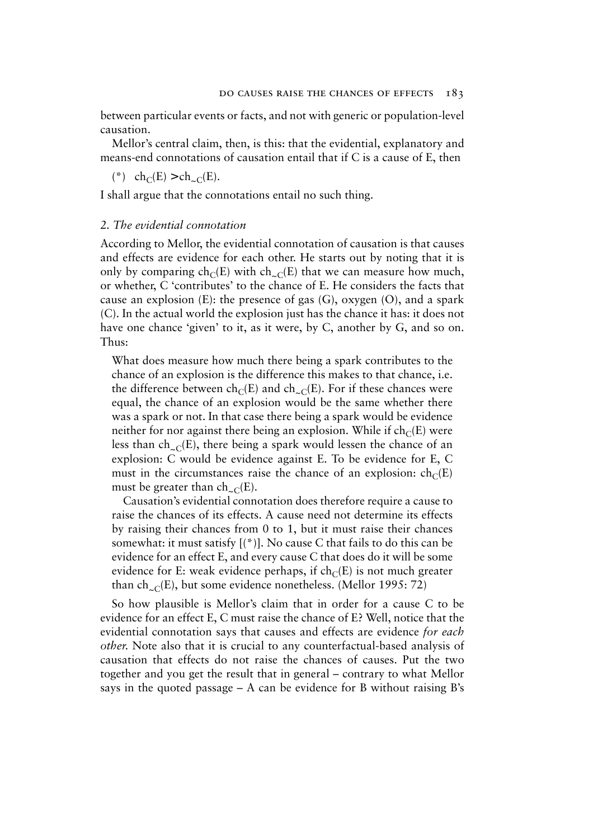between particular events or facts, and not with generic or population-level causation.

Mellor's central claim, then, is this: that the evidential, explanatory and means-end connotations of causation entail that if C is a cause of E, then

(\*)  $ch_C(E) > ch_{\sim C}(E)$ .

I shall argue that the connotations entail no such thing.

### *2. The evidential connotation*

According to Mellor, the evidential connotation of causation is that causes and effects are evidence for each other. He starts out by noting that it is only by comparing  $ch_C(E)$  with  $ch_{C}(E)$  that we can measure how much, or whether, C 'contributes' to the chance of E. He considers the facts that cause an explosion (E): the presence of gas  $(G)$ , oxygen  $(O)$ , and a spark (C). In the actual world the explosion just has the chance it has: it does not have one chance 'given' to it, as it were, by C, another by G, and so on. Thus:

What does measure how much there being a spark contributes to the chance of an explosion is the difference this makes to that chance, i.e. the difference between  $ch_C(E)$  and  $ch_{C}(E)$ . For if these chances were equal, the chance of an explosion would be the same whether there was a spark or not. In that case there being a spark would be evidence neither for nor against there being an explosion. While if  $ch_C(E)$  were less than  $ch_{c}(E)$ , there being a spark would lessen the chance of an explosion: C would be evidence against E. To be evidence for E, C must in the circumstances raise the chance of an explosion:  $ch_C(E)$ must be greater than  $ch_{\alpha}E(E)$ .

Causation's evidential connotation does therefore require a cause to raise the chances of its effects. A cause need not determine its effects by raising their chances from 0 to 1, but it must raise their chances somewhat: it must satisfy [(\*)]. No cause C that fails to do this can be evidence for an effect E, and every cause C that does do it will be some evidence for E: weak evidence perhaps, if  $ch_C(E)$  is not much greater than ch $_C(E)$ , but some evidence nonetheless. (Mellor 1995: 72)

So how plausible is Mellor's claim that in order for a cause C to be evidence for an effect E, C must raise the chance of E? Well, notice that the evidential connotation says that causes and effects are evidence *for each other*. Note also that it is crucial to any counterfactual-based analysis of causation that effects do not raise the chances of causes. Put the two together and you get the result that in general – contrary to what Mellor says in the quoted passage  $- A$  can be evidence for B without raising B's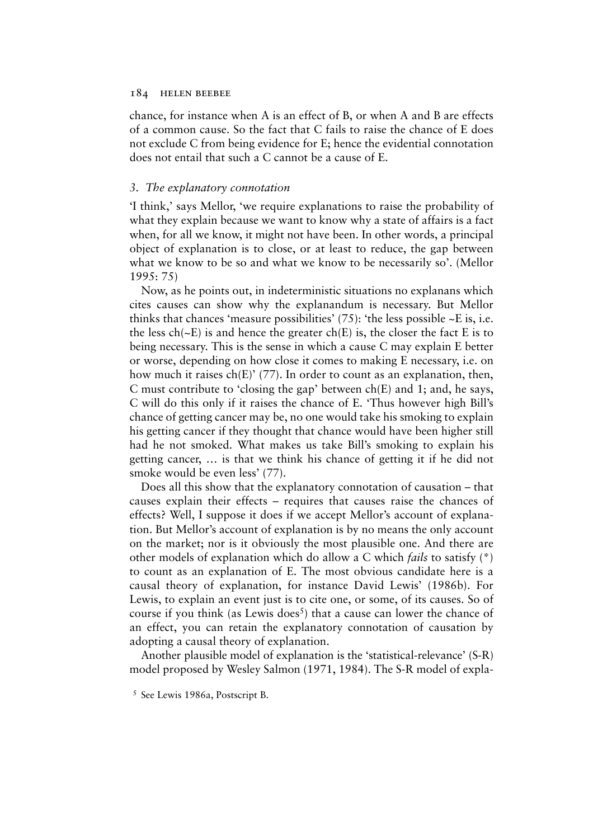chance, for instance when A is an effect of B, or when A and B are effects of a common cause. So the fact that C fails to raise the chance of E does not exclude C from being evidence for E; hence the evidential connotation does not entail that such a C cannot be a cause of E.

## *3. The explanatory connotation*

'I think,' says Mellor, 'we require explanations to raise the probability of what they explain because we want to know why a state of affairs is a fact when, for all we know, it might not have been. In other words, a principal object of explanation is to close, or at least to reduce, the gap between what we know to be so and what we know to be necessarily so'. (Mellor 1995: 75)

Now, as he points out, in indeterministic situations no explanans which cites causes can show why the explanandum is necessary. But Mellor thinks that chances 'measure possibilities'  $(75)$ : 'the less possible  $\sim$ E is, i.e. the less  $ch(\sim E)$  is and hence the greater  $ch(E)$  is, the closer the fact E is to being necessary. This is the sense in which a cause C may explain E better or worse, depending on how close it comes to making E necessary, i.e. on how much it raises ch(E)' (77). In order to count as an explanation, then, C must contribute to 'closing the gap' between ch(E) and 1; and, he says, C will do this only if it raises the chance of E. 'Thus however high Bill's chance of getting cancer may be, no one would take his smoking to explain his getting cancer if they thought that chance would have been higher still had he not smoked. What makes us take Bill's smoking to explain his getting cancer, … is that we think his chance of getting it if he did not smoke would be even less' (77).

Does all this show that the explanatory connotation of causation – that causes explain their effects – requires that causes raise the chances of effects? Well, I suppose it does if we accept Mellor's account of explanation. But Mellor's account of explanation is by no means the only account on the market; nor is it obviously the most plausible one. And there are other models of explanation which do allow a C which *fails* to satisfy (\*) to count as an explanation of E. The most obvious candidate here is a causal theory of explanation, for instance David Lewis' (1986b). For Lewis, to explain an event just is to cite one, or some, of its causes. So of course if you think (as Lewis does<sup>5</sup>) that a cause can lower the chance of an effect, you can retain the explanatory connotation of causation by adopting a causal theory of explanation.

Another plausible model of explanation is the 'statistical-relevance' (S-R) model proposed by Wesley Salmon (1971, 1984). The S-R model of expla-

<sup>5</sup> See Lewis 1986a, Postscript B.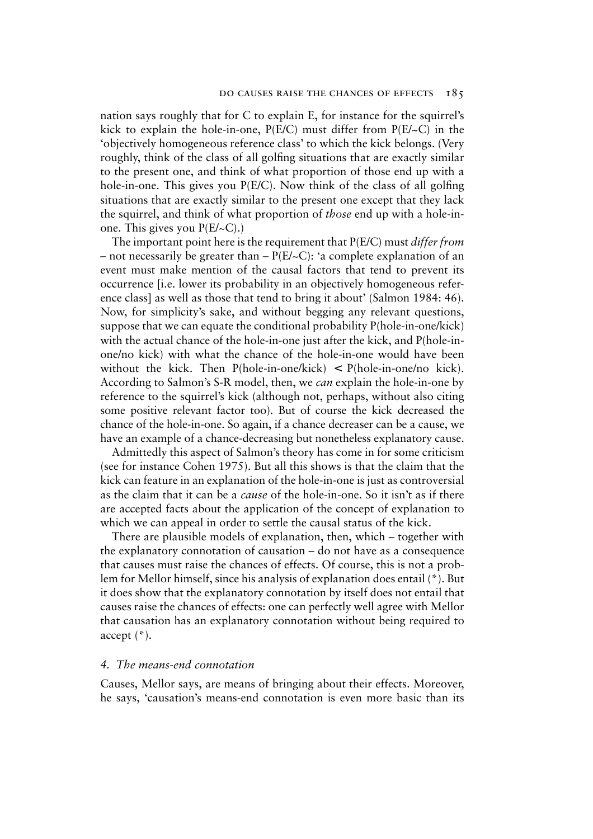nation says roughly that for C to explain E, for instance for the squirrel's kick to explain the hole-in-one,  $P(E/C)$  must differ from  $P(E/\sim C)$  in the 'objectively homogeneous reference class' to which the kick belongs. (Very roughly, think of the class of all golfing situations that are exactly similar to the present one, and think of what proportion of those end up with a hole-in-one. This gives you P(E/C). Now think of the class of all golfing situations that are exactly similar to the present one except that they lack the squirrel, and think of what proportion of *those* end up with a hole-inone. This gives you  $P(E/\sim C)$ .)

The important point here is the requirement that P(E/C) must *differ from* – not necessarily be greater than –  $P(E/\sim C)$ : 'a complete explanation of an event must make mention of the causal factors that tend to prevent its occurrence [i.e. lower its probability in an objectively homogeneous reference class] as well as those that tend to bring it about' (Salmon 1984: 46). Now, for simplicity's sake, and without begging any relevant questions, suppose that we can equate the conditional probability P(hole-in-one/kick) with the actual chance of the hole-in-one just after the kick, and P(hole-inone/no kick) with what the chance of the hole-in-one would have been without the kick. Then  $P(hole-in-one/kick) < P(hole-in-one/no)$  kick). According to Salmon's S-R model, then, we *can* explain the hole-in-one by reference to the squirrel's kick (although not, perhaps, without also citing some positive relevant factor too). But of course the kick decreased the chance of the hole-in-one. So again, if a chance decreaser can be a cause, we have an example of a chance-decreasing but nonetheless explanatory cause.

Admittedly this aspect of Salmon's theory has come in for some criticism (see for instance Cohen 1975). But all this shows is that the claim that the kick can feature in an explanation of the hole-in-one is just as controversial as the claim that it can be a *cause* of the hole-in-one. So it isn't as if there are accepted facts about the application of the concept of explanation to which we can appeal in order to settle the causal status of the kick.

There are plausible models of explanation, then, which – together with the explanatory connotation of causation – do not have as a consequence that causes must raise the chances of effects. Of course, this is not a problem for Mellor himself, since his analysis of explanation does entail (\*). But it does show that the explanatory connotation by itself does not entail that causes raise the chances of effects: one can perfectly well agree with Mellor that causation has an explanatory connotation without being required to accept (\*).

### *4. The means-end connotation*

Causes, Mellor says, are means of bringing about their effects. Moreover, he says, 'causation's means-end connotation is even more basic than its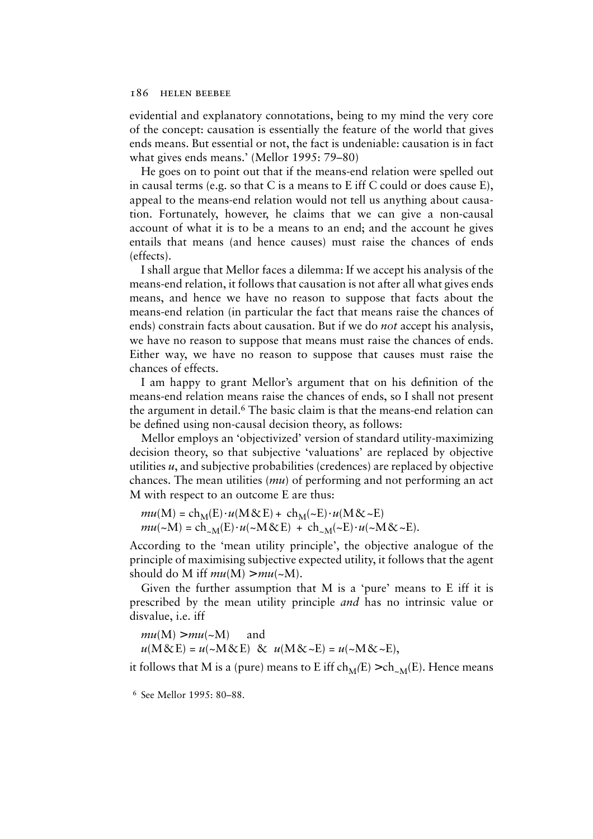evidential and explanatory connotations, being to my mind the very core of the concept: causation is essentially the feature of the world that gives ends means. But essential or not, the fact is undeniable: causation is in fact what gives ends means.' (Mellor 1995: 79–80)

He goes on to point out that if the means-end relation were spelled out in causal terms (e.g. so that C is a means to E iff C could or does cause E), appeal to the means-end relation would not tell us anything about causation. Fortunately, however, he claims that we can give a non-causal account of what it is to be a means to an end; and the account he gives entails that means (and hence causes) must raise the chances of ends (effects).

I shall argue that Mellor faces a dilemma: If we accept his analysis of the means-end relation, it follows that causation is not after all what gives ends means, and hence we have no reason to suppose that facts about the means-end relation (in particular the fact that means raise the chances of ends) constrain facts about causation. But if we do *not* accept his analysis, we have no reason to suppose that means must raise the chances of ends. Either way, we have no reason to suppose that causes must raise the chances of effects.

I am happy to grant Mellor's argument that on his definition of the means-end relation means raise the chances of ends, so I shall not present the argument in detail.<sup>6</sup> The basic claim is that the means-end relation can be defined using non-causal decision theory, as follows:

Mellor employs an 'objectivized' version of standard utility-maximizing decision theory, so that subjective 'valuations' are replaced by objective utilities *u*, and subjective probabilities (credences) are replaced by objective chances. The mean utilities (*mu*) of performing and not performing an act M with respect to an outcome E are thus:

 $mu(M) = ch_M(E) \cdot u(M \& E) + ch_M(\sim E) \cdot u(M \& \sim E)$  $mu(-M) = ch_{\sim M}(E) \cdot u(-M \& E) + ch_{\sim M}(-E) \cdot u(-M \& E).$ 

According to the 'mean utility principle', the objective analogue of the principle of maximising subjective expected utility, it follows that the agent should do M iff  $mu(M) > mu(\sim M)$ .

Given the further assumption that M is a 'pure' means to E iff it is prescribed by the mean utility principle *and* has no intrinsic value or disvalue, i.e. iff

 $mu(M) > mu(-M)$  and  $u(M \& E) = u(-M \& E) \& u(M \& E) = u(-M \& E),$ 

it follows that M is a (pure) means to E iff  $ch_M(E) > ch_{\sim M}(E)$ . Hence means

<sup>6</sup> See Mellor 1995: 80–88.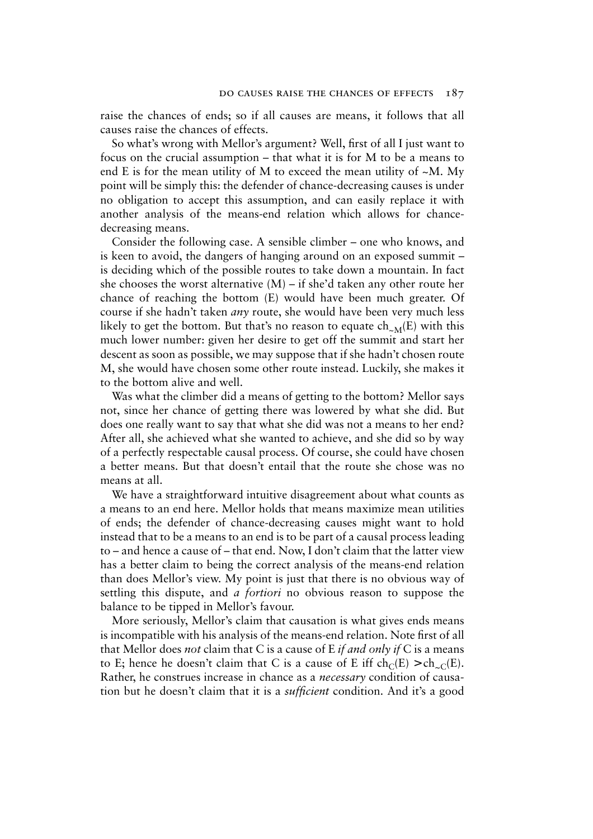raise the chances of ends; so if all causes are means, it follows that all causes raise the chances of effects.

So what's wrong with Mellor's argument? Well, first of all I just want to focus on the crucial assumption – that what it is for M to be a means to end E is for the mean utility of M to exceed the mean utility of  $-M$ . My point will be simply this: the defender of chance-decreasing causes is under no obligation to accept this assumption, and can easily replace it with another analysis of the means-end relation which allows for chancedecreasing means.

Consider the following case. A sensible climber – one who knows, and is keen to avoid, the dangers of hanging around on an exposed summit – is deciding which of the possible routes to take down a mountain. In fact she chooses the worst alternative  $(M)$  – if she'd taken any other route her chance of reaching the bottom (E) would have been much greater. Of course if she hadn't taken *any* route, she would have been very much less likely to get the bottom. But that's no reason to equate  $ch_{\mathcal{M}}(E)$  with this much lower number: given her desire to get off the summit and start her descent as soon as possible, we may suppose that if she hadn't chosen route M, she would have chosen some other route instead. Luckily, she makes it to the bottom alive and well.

Was what the climber did a means of getting to the bottom? Mellor says not, since her chance of getting there was lowered by what she did. But does one really want to say that what she did was not a means to her end? After all, she achieved what she wanted to achieve, and she did so by way of a perfectly respectable causal process. Of course, she could have chosen a better means. But that doesn't entail that the route she chose was no means at all.

We have a straightforward intuitive disagreement about what counts as a means to an end here. Mellor holds that means maximize mean utilities of ends; the defender of chance-decreasing causes might want to hold instead that to be a means to an end is to be part of a causal process leading to – and hence a cause of – that end. Now, I don't claim that the latter view has a better claim to being the correct analysis of the means-end relation than does Mellor's view. My point is just that there is no obvious way of settling this dispute, and *a fortiori* no obvious reason to suppose the balance to be tipped in Mellor's favour.

More seriously, Mellor's claim that causation is what gives ends means is incompatible with his analysis of the means-end relation. Note first of all that Mellor does *not* claim that C is a cause of E *if and only if* C is a means to E; hence he doesn't claim that C is a cause of E iff  $ch_C(E) > ch_{\infty}(E)$ . Rather, he construes increase in chance as a *necessary* condition of causation but he doesn't claim that it is a *sufficient* condition. And it's a good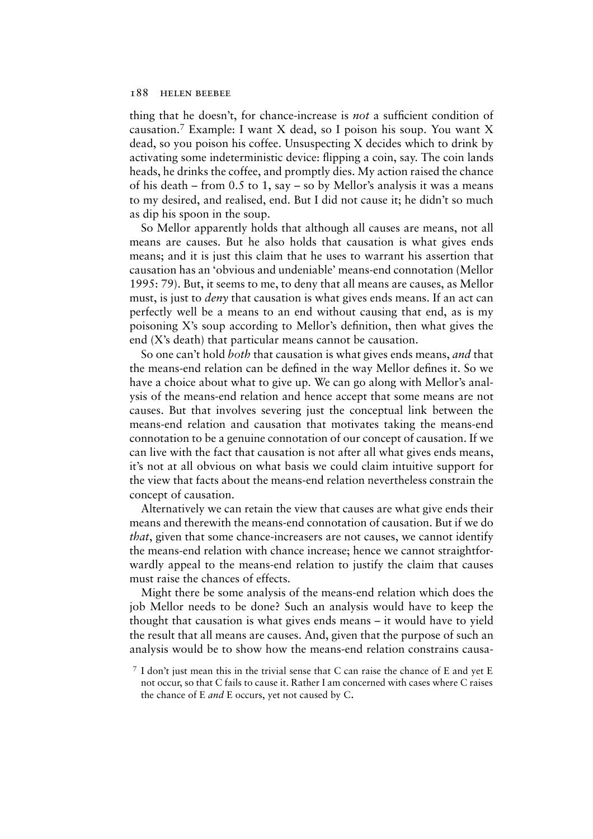thing that he doesn't, for chance-increase is *not* a sufficient condition of causation.7 Example: I want X dead, so I poison his soup. You want X dead, so you poison his coffee. Unsuspecting X decides which to drink by activating some indeterministic device: flipping a coin, say. The coin lands heads, he drinks the coffee, and promptly dies. My action raised the chance of his death – from 0.5 to 1, say – so by Mellor's analysis it was a means to my desired, and realised, end. But I did not cause it; he didn't so much as dip his spoon in the soup.

So Mellor apparently holds that although all causes are means, not all means are causes. But he also holds that causation is what gives ends means; and it is just this claim that he uses to warrant his assertion that causation has an 'obvious and undeniable' means-end connotation (Mellor 1995: 79). But, it seems to me, to deny that all means are causes, as Mellor must, is just to *deny* that causation is what gives ends means. If an act can perfectly well be a means to an end without causing that end, as is my poisoning X's soup according to Mellor's definition, then what gives the end (X's death) that particular means cannot be causation.

So one can't hold *both* that causation is what gives ends means, *and* that the means-end relation can be defined in the way Mellor defines it. So we have a choice about what to give up. We can go along with Mellor's analysis of the means-end relation and hence accept that some means are not causes. But that involves severing just the conceptual link between the means-end relation and causation that motivates taking the means-end connotation to be a genuine connotation of our concept of causation. If we can live with the fact that causation is not after all what gives ends means, it's not at all obvious on what basis we could claim intuitive support for the view that facts about the means-end relation nevertheless constrain the concept of causation.

Alternatively we can retain the view that causes are what give ends their means and therewith the means-end connotation of causation. But if we do *that*, given that some chance-increasers are not causes, we cannot identify the means-end relation with chance increase; hence we cannot straightforwardly appeal to the means-end relation to justify the claim that causes must raise the chances of effects.

Might there be some analysis of the means-end relation which does the job Mellor needs to be done? Such an analysis would have to keep the thought that causation is what gives ends means – it would have to yield the result that all means are causes. And, given that the purpose of such an analysis would be to show how the means-end relation constrains causa-

 $7\text{ I}$  don't just mean this in the trivial sense that C can raise the chance of E and yet E not occur, so that C fails to cause it. Rather I am concerned with cases where C raises the chance of E *and* E occurs, yet not caused by C.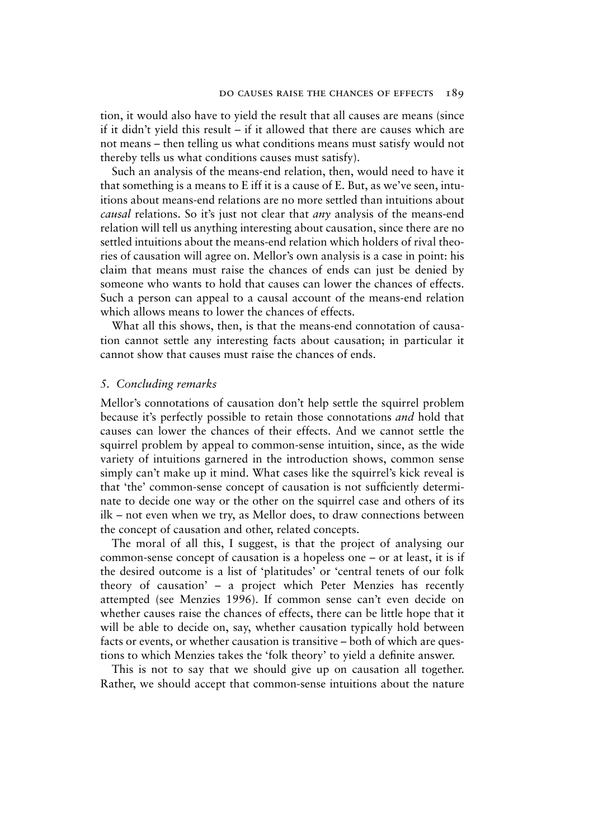tion, it would also have to yield the result that all causes are means (since if it didn't yield this result – if it allowed that there are causes which are not means – then telling us what conditions means must satisfy would not thereby tells us what conditions causes must satisfy).

Such an analysis of the means-end relation, then, would need to have it that something is a means to E iff it is a cause of E. But, as we've seen, intuitions about means-end relations are no more settled than intuitions about *causal* relations. So it's just not clear that *any* analysis of the means-end relation will tell us anything interesting about causation, since there are no settled intuitions about the means-end relation which holders of rival theories of causation will agree on. Mellor's own analysis is a case in point: his claim that means must raise the chances of ends can just be denied by someone who wants to hold that causes can lower the chances of effects. Such a person can appeal to a causal account of the means-end relation which allows means to lower the chances of effects.

What all this shows, then, is that the means-end connotation of causation cannot settle any interesting facts about causation; in particular it cannot show that causes must raise the chances of ends.

### *5. Concluding remarks*

Mellor's connotations of causation don't help settle the squirrel problem because it's perfectly possible to retain those connotations *and* hold that causes can lower the chances of their effects. And we cannot settle the squirrel problem by appeal to common-sense intuition, since, as the wide variety of intuitions garnered in the introduction shows, common sense simply can't make up it mind. What cases like the squirrel's kick reveal is that 'the' common-sense concept of causation is not sufficiently determinate to decide one way or the other on the squirrel case and others of its ilk – not even when we try, as Mellor does, to draw connections between the concept of causation and other, related concepts.

The moral of all this, I suggest, is that the project of analysing our common-sense concept of causation is a hopeless one – or at least, it is if the desired outcome is a list of 'platitudes' or 'central tenets of our folk theory of causation' – a project which Peter Menzies has recently attempted (see Menzies 1996). If common sense can't even decide on whether causes raise the chances of effects, there can be little hope that it will be able to decide on, say, whether causation typically hold between facts or events, or whether causation is transitive – both of which are questions to which Menzies takes the 'folk theory' to yield a definite answer.

This is not to say that we should give up on causation all together. Rather, we should accept that common-sense intuitions about the nature